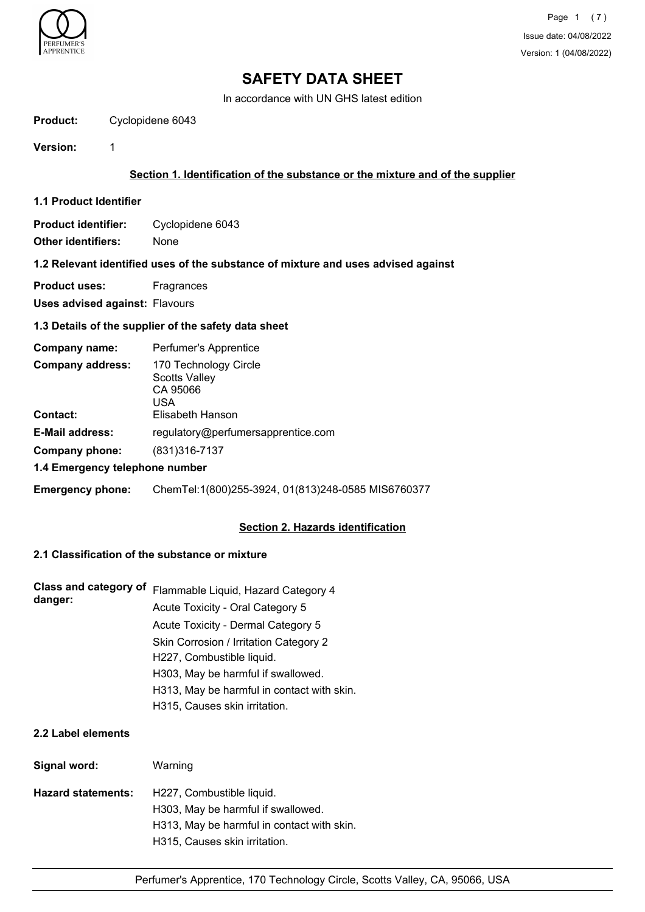

In accordance with UN GHS latest edition

#### **Product:** Cyclopidene 6043

**Version:** 1

## **Section 1. Identification of the substance or the mixture and of the supplier**

**1.1 Product Identifier**

**Product identifier:** Cyclopidene 6043 **Other identifiers:** None

#### **1.2 Relevant identified uses of the substance of mixture and uses advised against**

**Product uses:** Fragrances

**Uses advised against:** Flavours

## **1.3 Details of the supplier of the safety data sheet**

| Company name:                  | Perfumer's Apprentice                                     |
|--------------------------------|-----------------------------------------------------------|
| <b>Company address:</b>        | 170 Technology Circle<br>Scotts Valley<br>CA 95066<br>USA |
| <b>Contact:</b>                | Elisabeth Hanson                                          |
| <b>E-Mail address:</b>         | regulatory@perfumersapprentice.com                        |
| Company phone:                 | (831)316-7137                                             |
| 1.4 Emergency telephone number |                                                           |
| <b>Emergency phone:</b>        | ChemTel:1(800)255-3924, 01(813)248-0585 MIS6760377        |

## **Section 2. Hazards identification**

## **2.1 Classification of the substance or mixture**

| Class and category of<br>danger: | Flammable Liquid, Hazard Category 4        |
|----------------------------------|--------------------------------------------|
|                                  | Acute Toxicity - Oral Category 5           |
|                                  | Acute Toxicity - Dermal Category 5         |
|                                  | Skin Corrosion / Irritation Category 2     |
|                                  | H227, Combustible liquid.                  |
|                                  | H303, May be harmful if swallowed.         |
|                                  | H313, May be harmful in contact with skin. |
|                                  | H315, Causes skin irritation.              |

## **2.2 Label elements**

| Signal word:              | Warning                                    |
|---------------------------|--------------------------------------------|
| <b>Hazard statements:</b> | H227, Combustible liquid.                  |
|                           | H303, May be harmful if swallowed.         |
|                           | H313, May be harmful in contact with skin. |
|                           | H315, Causes skin irritation.              |
|                           |                                            |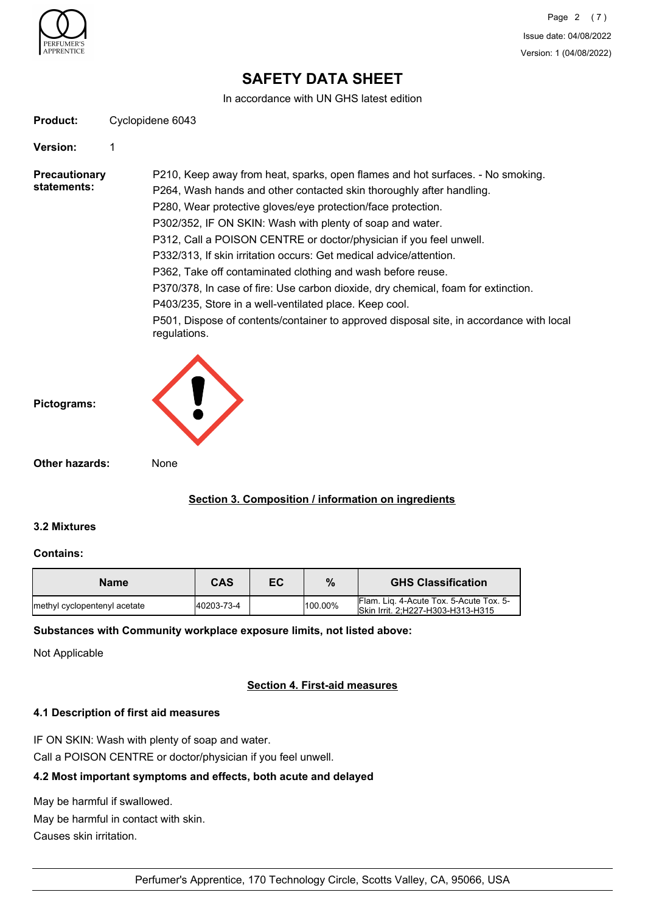

In accordance with UN GHS latest edition

| <b>Product:</b> | Cyclopidene 6043 |
|-----------------|------------------|
|                 |                  |

#### **Version:** 1

**Precautionary statements:** P210, Keep away from heat, sparks, open flames and hot surfaces. - No smoking. P264, Wash hands and other contacted skin thoroughly after handling. P280, Wear protective gloves/eye protection/face protection. P302/352, IF ON SKIN: Wash with plenty of soap and water. P312, Call a POISON CENTRE or doctor/physician if you feel unwell. P332/313, If skin irritation occurs: Get medical advice/attention. P362, Take off contaminated clothing and wash before reuse. P370/378, In case of fire: Use carbon dioxide, dry chemical, foam for extinction. P403/235, Store in a well-ventilated place. Keep cool. P501, Dispose of contents/container to approved disposal site, in accordance with local regulations.

| Pictograms:    |      |
|----------------|------|
| Other hazards: | None |

## **Section 3. Composition / information on ingredients**

## **3.2 Mixtures**

#### **Contains:**

| <b>Name</b>                  | CAS        | EC | %       | <b>GHS Classification</b>                                                    |
|------------------------------|------------|----|---------|------------------------------------------------------------------------------|
| methyl cyclopentenyl acetate | 40203-73-4 |    | 100.00% | Flam. Lig. 4-Acute Tox. 5-Acute Tox. 5-<br>Skin Irrit. 2:H227-H303-H313-H315 |

## **Substances with Community workplace exposure limits, not listed above:**

Not Applicable

## **Section 4. First-aid measures**

## **4.1 Description of first aid measures**

IF ON SKIN: Wash with plenty of soap and water.

Call a POISON CENTRE or doctor/physician if you feel unwell.

## **4.2 Most important symptoms and effects, both acute and delayed**

May be harmful if swallowed. May be harmful in contact with skin.

Causes skin irritation.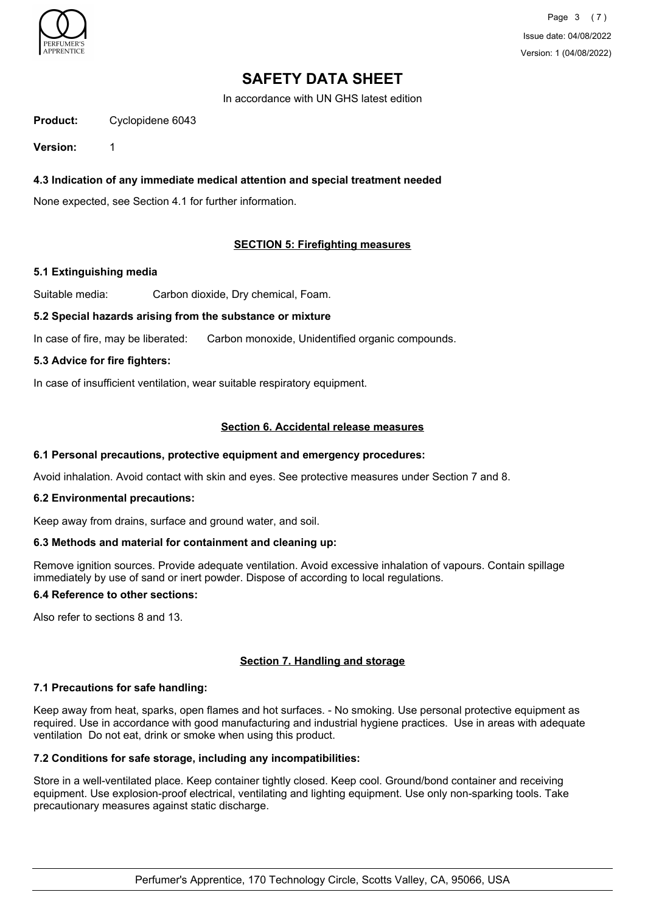

Page 3 (7) Issue date: 04/08/2022 Version: 1 (04/08/2022)

## **SAFETY DATA SHEET**

In accordance with UN GHS latest edition

**Product:** Cyclopidene 6043

**Version:** 1

**4.3 Indication of any immediate medical attention and special treatment needed**

None expected, see Section 4.1 for further information.

## **SECTION 5: Firefighting measures**

#### **5.1 Extinguishing media**

Suitable media: Carbon dioxide, Dry chemical, Foam.

#### **5.2 Special hazards arising from the substance or mixture**

In case of fire, may be liberated: Carbon monoxide, Unidentified organic compounds.

#### **5.3 Advice for fire fighters:**

In case of insufficient ventilation, wear suitable respiratory equipment.

## **Section 6. Accidental release measures**

#### **6.1 Personal precautions, protective equipment and emergency procedures:**

Avoid inhalation. Avoid contact with skin and eyes. See protective measures under Section 7 and 8.

#### **6.2 Environmental precautions:**

Keep away from drains, surface and ground water, and soil.

#### **6.3 Methods and material for containment and cleaning up:**

Remove ignition sources. Provide adequate ventilation. Avoid excessive inhalation of vapours. Contain spillage immediately by use of sand or inert powder. Dispose of according to local regulations.

#### **6.4 Reference to other sections:**

Also refer to sections 8 and 13.

## **Section 7. Handling and storage**

#### **7.1 Precautions for safe handling:**

Keep away from heat, sparks, open flames and hot surfaces. - No smoking. Use personal protective equipment as required. Use in accordance with good manufacturing and industrial hygiene practices. Use in areas with adequate ventilation Do not eat, drink or smoke when using this product.

## **7.2 Conditions for safe storage, including any incompatibilities:**

Store in a well-ventilated place. Keep container tightly closed. Keep cool. Ground/bond container and receiving equipment. Use explosion-proof electrical, ventilating and lighting equipment. Use only non-sparking tools. Take precautionary measures against static discharge.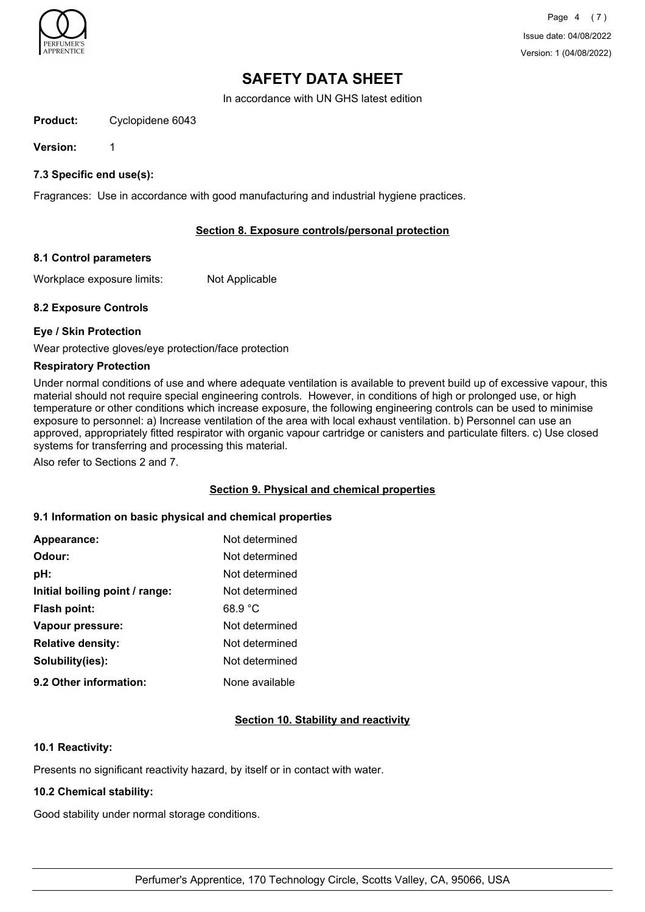

In accordance with UN GHS latest edition

## **Product:** Cyclopidene 6043

**Version:** 1

## **7.3 Specific end use(s):**

Fragrances: Use in accordance with good manufacturing and industrial hygiene practices.

## **Section 8. Exposure controls/personal protection**

#### **8.1 Control parameters**

Workplace exposure limits: Not Applicable

## **8.2 Exposure Controls**

#### **Eye / Skin Protection**

Wear protective gloves/eye protection/face protection

#### **Respiratory Protection**

Under normal conditions of use and where adequate ventilation is available to prevent build up of excessive vapour, this material should not require special engineering controls. However, in conditions of high or prolonged use, or high temperature or other conditions which increase exposure, the following engineering controls can be used to minimise exposure to personnel: a) Increase ventilation of the area with local exhaust ventilation. b) Personnel can use an approved, appropriately fitted respirator with organic vapour cartridge or canisters and particulate filters. c) Use closed systems for transferring and processing this material.

Also refer to Sections 2 and 7.

## **Section 9. Physical and chemical properties**

## **9.1 Information on basic physical and chemical properties**

| Appearance:                    | Not determined |
|--------------------------------|----------------|
| Odour:                         | Not determined |
| pH:                            | Not determined |
| Initial boiling point / range: | Not determined |
| Flash point:                   | 68.9 °C        |
| Vapour pressure:               | Not determined |
| <b>Relative density:</b>       | Not determined |
| Solubility(ies):               | Not determined |
| 9.2 Other information:         | None available |

## **Section 10. Stability and reactivity**

## **10.1 Reactivity:**

Presents no significant reactivity hazard, by itself or in contact with water.

## **10.2 Chemical stability:**

Good stability under normal storage conditions.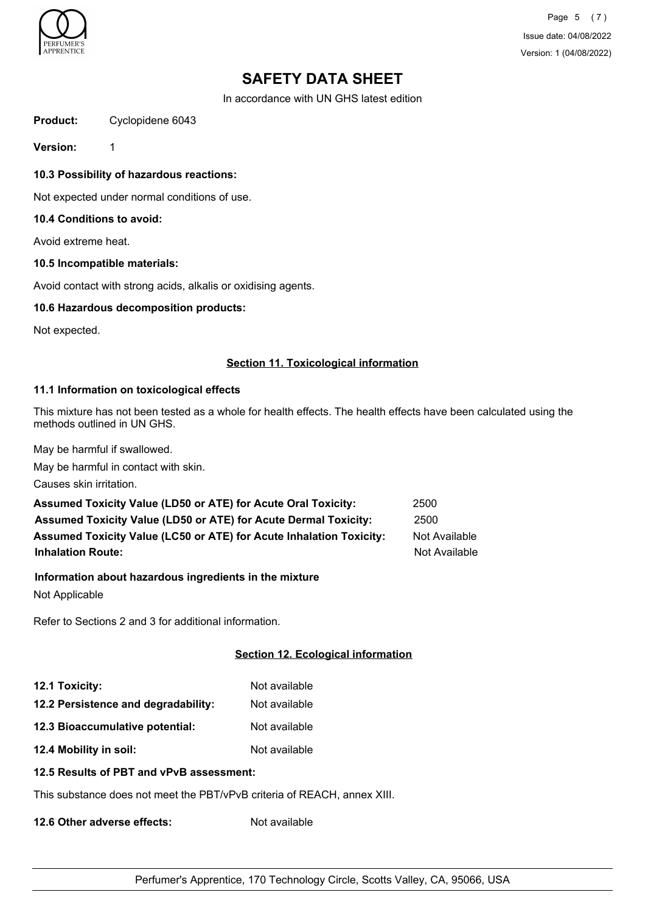

Page 5 (7) Issue date: 04/08/2022 Version: 1 (04/08/2022)

## **SAFETY DATA SHEET**

In accordance with UN GHS latest edition

**Product:** Cyclopidene 6043

**Version:** 1

**10.3 Possibility of hazardous reactions:**

Not expected under normal conditions of use.

### **10.4 Conditions to avoid:**

Avoid extreme heat.

#### **10.5 Incompatible materials:**

Avoid contact with strong acids, alkalis or oxidising agents.

#### **10.6 Hazardous decomposition products:**

Not expected.

#### **Section 11. Toxicological information**

## **11.1 Information on toxicological effects**

This mixture has not been tested as a whole for health effects. The health effects have been calculated using the methods outlined in UN GHS.

May be harmful if swallowed.

May be harmful in contact with skin.

Causes skin irritation.

| <b>Assumed Toxicity Value (LD50 or ATE) for Acute Oral Toxicity:</b>       | 2500          |
|----------------------------------------------------------------------------|---------------|
| <b>Assumed Toxicity Value (LD50 or ATE) for Acute Dermal Toxicity:</b>     | 2500          |
| <b>Assumed Toxicity Value (LC50 or ATE) for Acute Inhalation Toxicity:</b> | Not Available |
| <b>Inhalation Route:</b>                                                   | Not Available |

**Information about hazardous ingredients in the mixture** Not Applicable

Refer to Sections 2 and 3 for additional information.

## **Section 12. Ecological information**

| 12.1 Toxicity:                      | Not available |
|-------------------------------------|---------------|
| 12.2 Persistence and degradability: | Not available |

**12.3 Bioaccumulative potential:** Not available

**12.4 Mobility in soil:** Not available

## **12.5 Results of PBT and vPvB assessment:**

This substance does not meet the PBT/vPvB criteria of REACH, annex XIII.

**12.6 Other adverse effects:** Not available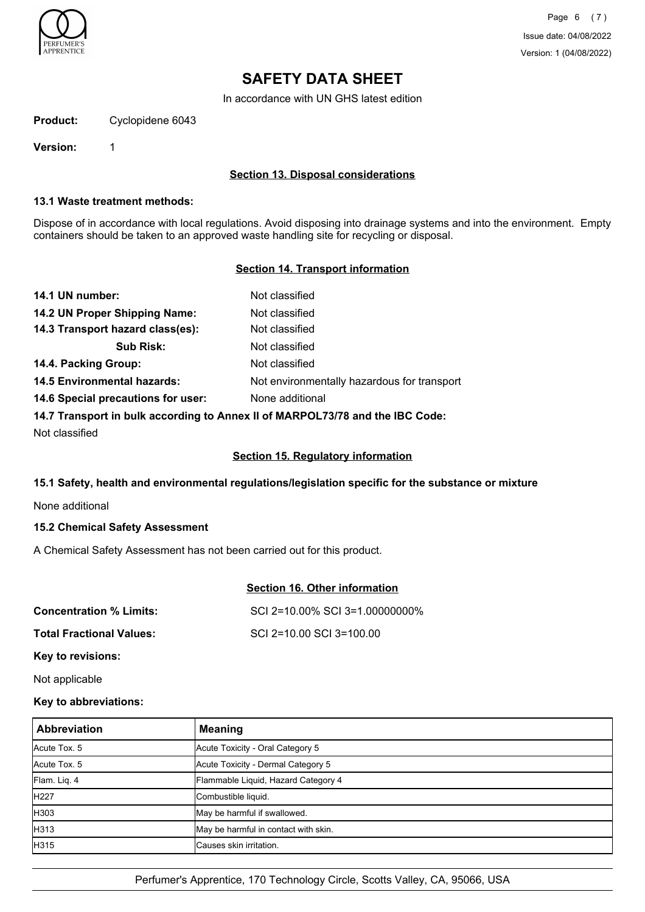

In accordance with UN GHS latest edition

**Product:** Cyclopidene 6043

**Version:** 1

## **Section 13. Disposal considerations**

### **13.1 Waste treatment methods:**

Dispose of in accordance with local regulations. Avoid disposing into drainage systems and into the environment. Empty containers should be taken to an approved waste handling site for recycling or disposal.

## **Section 14. Transport information**

| 14.1 UN number:                    | Not classified                                                                |
|------------------------------------|-------------------------------------------------------------------------------|
| 14.2 UN Proper Shipping Name:      | Not classified                                                                |
| 14.3 Transport hazard class(es):   | Not classified                                                                |
| <b>Sub Risk:</b>                   | Not classified                                                                |
| 14.4. Packing Group:               | Not classified                                                                |
| <b>14.5 Environmental hazards:</b> | Not environmentally hazardous for transport                                   |
| 14.6 Special precautions for user: | None additional                                                               |
|                                    | 14.7 Transport in bulk according to Annex II of MARPOL73/78 and the IBC Code: |
| Not classified                     |                                                                               |

#### **Section 15. Regulatory information**

## **15.1 Safety, health and environmental regulations/legislation specific for the substance or mixture**

None additional

## **15.2 Chemical Safety Assessment**

A Chemical Safety Assessment has not been carried out for this product.

## **Section 16. Other information**

| <b>Concentration % Limits:</b>  | SCI 2=10.00% SCI 3=1.00000000% |
|---------------------------------|--------------------------------|
| <b>Total Fractional Values:</b> | SCI 2=10.00 SCI 3=100.00       |

**Key to revisions:**

Not applicable

## **Key to abbreviations:**

| Abbreviation | <b>Meaning</b>                       |
|--------------|--------------------------------------|
| Acute Tox. 5 | Acute Toxicity - Oral Category 5     |
| Acute Tox. 5 | Acute Toxicity - Dermal Category 5   |
| Flam. Lig. 4 | Flammable Liquid, Hazard Category 4  |
| <b>H227</b>  | Combustible liquid.                  |
| <b>H</b> 303 | May be harmful if swallowed.         |
| H313         | May be harmful in contact with skin. |
| H315         | Causes skin irritation.              |